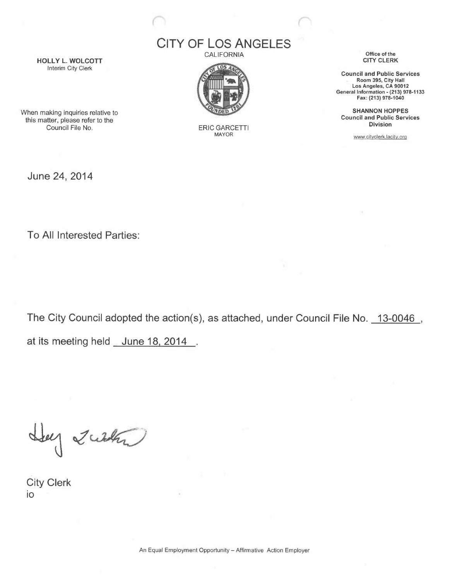## CITY OF LOS ANGELES

**CALIFORNIA** 



ERIC GARCETTI MAYOR

Office of the CITY CLERK

Council and Public Services Room 395, City Hall Los Angeles, CA 90012 General Information - (213) 978-1133 Fax: (213) 978-1040

SHANNON HOPPES Council and Public Services Division

www.cityclerk.lacity.orq

HOLLY L. WOLCOTT Interim City Clerk

When making inquiries relative to this matter, please refer to the Council File No.

June 24, 2014

To All Interested Parties:

The City Council adopted the action(s), as attached, under Council File No. 13-0046 , at its meeting held June 18, 2014.

Ley Zucken

City Clerk io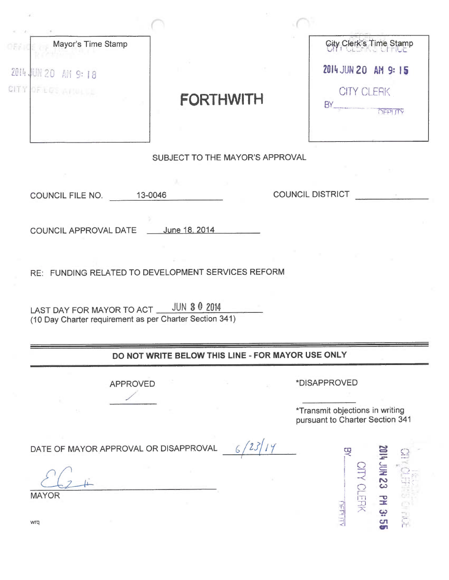| Mayor's Time Stamp       |                                                                                                       |                                                 | City Clerk's Time Stamp                       |
|--------------------------|-------------------------------------------------------------------------------------------------------|-------------------------------------------------|-----------------------------------------------|
| 2014 世紀 20 4M 9:18       |                                                                                                       |                                                 | 2014 JUN 20 AM 9:15                           |
| CITY OF LIFE AND LILL    | <b>FORTHWITH</b>                                                                                      | BY.                                             | <b>CITY CLERK</b><br><b>OFPLITY</b>           |
|                          | SUBJECT TO THE MAYOR'S APPROVAL                                                                       |                                                 |                                               |
|                          |                                                                                                       |                                                 |                                               |
| COUNCIL FILE NO. 13-0046 |                                                                                                       | <b>COUNCIL DISTRICT</b>                         |                                               |
|                          | COUNCIL APPROVAL DATE ____ June 18, 2014                                                              |                                                 |                                               |
|                          |                                                                                                       |                                                 |                                               |
|                          | RE: FUNDING RELATED TO DEVELOPMENT SERVICES REFORM                                                    |                                                 |                                               |
|                          | LAST DAY FOR MAYOR TO ACT ___ JUN 3 0 2014<br>(10 Day Charter requirement as per Charter Section 341) |                                                 |                                               |
|                          | DO NOT WRITE BELOW THIS LINE - FOR MAYOR USE ONLY                                                     |                                                 |                                               |
|                          | <b>APPROVED</b>                                                                                       | *DISAPPROVED<br>*Transmit objections in writing |                                               |
|                          | DATE OF MAYOR APPROVAL OR DISAPPROVAL                                                                 |                                                 | pursuant to Charter Section 341               |
|                          |                                                                                                       | 耍                                               |                                               |
| <b>MAYOR</b>             |                                                                                                       | <b>ALLINE</b>                                   | <b>EZ NIC +</b><br><b>SITY CLERK</b><br>PM 3: |